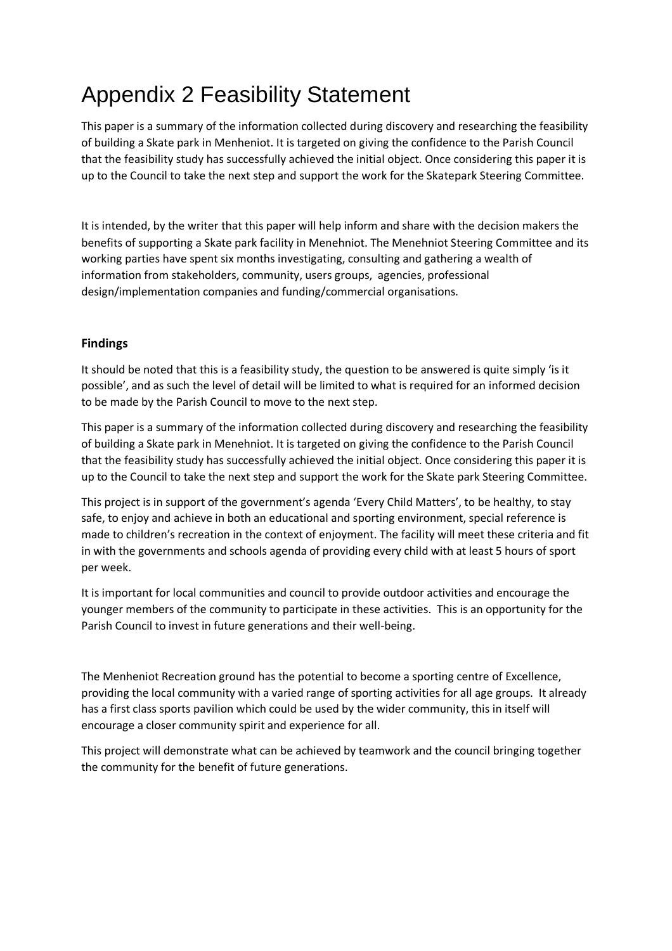# Appendix 2 Feasibility Statement

This paper is a summary of the information collected during discovery and researching the feasibility of building a Skate park in Menheniot. It is targeted on giving the confidence to the Parish Council that the feasibility study has successfully achieved the initial object. Once considering this paper it is up to the Council to take the next step and support the work for the Skatepark Steering Committee.

It is intended, by the writer that this paper will help inform and share with the decision makers the benefits of supporting a Skate park facility in Menehniot. The Menehniot Steering Committee and its working parties have spent six months investigating, consulting and gathering a wealth of information from stakeholders, community, users groups, agencies, professional design/implementation companies and funding/commercial organisations.

#### Findings

It should be noted that this is a feasibility study, the question to be answered is quite simply 'is it possible', and as such the level of detail will be limited to what is required for an informed decision to be made by the Parish Council to move to the next step.

This paper is a summary of the information collected during discovery and researching the feasibility of building a Skate park in Menehniot. It is targeted on giving the confidence to the Parish Council that the feasibility study has successfully achieved the initial object. Once considering this paper it is up to the Council to take the next step and support the work for the Skate park Steering Committee.

This project is in support of the government's agenda 'Every Child Matters', to be healthy, to stay safe, to enjoy and achieve in both an educational and sporting environment, special reference is made to children's recreation in the context of enjoyment. The facility will meet these criteria and fit in with the governments and schools agenda of providing every child with at least 5 hours of sport per week.

It is important for local communities and council to provide outdoor activities and encourage the younger members of the community to participate in these activities. This is an opportunity for the Parish Council to invest in future generations and their well-being.

The Menheniot Recreation ground has the potential to become a sporting centre of Excellence, providing the local community with a varied range of sporting activities for all age groups. It already has a first class sports pavilion which could be used by the wider community, this in itself will encourage a closer community spirit and experience for all.

This project will demonstrate what can be achieved by teamwork and the council bringing together the community for the benefit of future generations.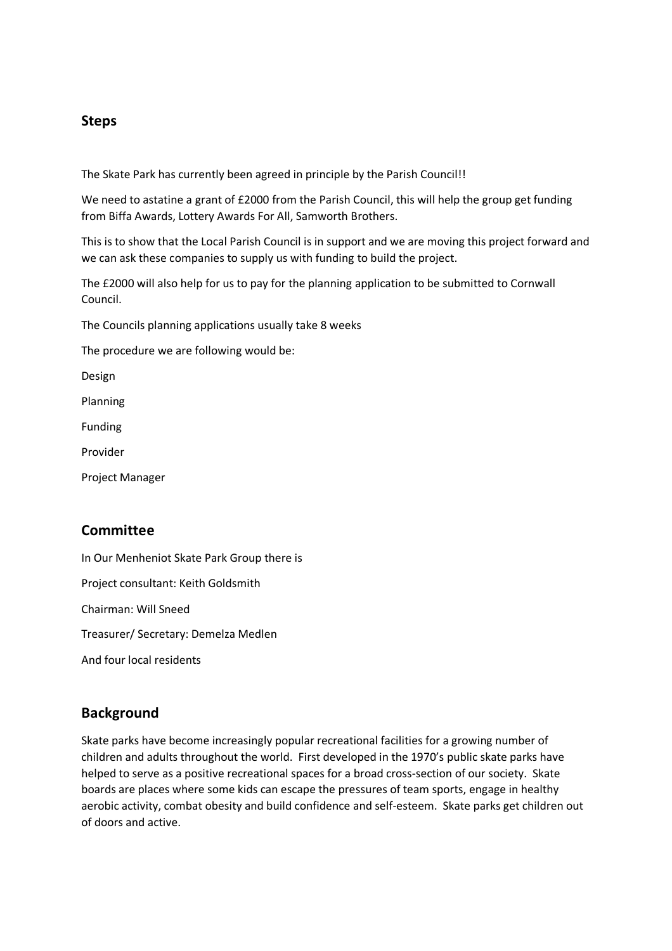# Steps

The Skate Park has currently been agreed in principle by the Parish Council!!

We need to astatine a grant of £2000 from the Parish Council, this will help the group get funding from Biffa Awards, Lottery Awards For All, Samworth Brothers.

This is to show that the Local Parish Council is in support and we are moving this project forward and we can ask these companies to supply us with funding to build the project.

The £2000 will also help for us to pay for the planning application to be submitted to Cornwall Council.

The Councils planning applications usually take 8 weeks

The procedure we are following would be:

Design

Planning

Funding

Provider

Project Manager

## **Committee**

In Our Menheniot Skate Park Group there is Project consultant: Keith Goldsmith Chairman: Will Sneed Treasurer/ Secretary: Demelza Medlen And four local residents

## Background

Skate parks have become increasingly popular recreational facilities for a growing number of children and adults throughout the world. First developed in the 1970's public skate parks have helped to serve as a positive recreational spaces for a broad cross-section of our society. Skate boards are places where some kids can escape the pressures of team sports, engage in healthy aerobic activity, combat obesity and build confidence and self-esteem. Skate parks get children out of doors and active.